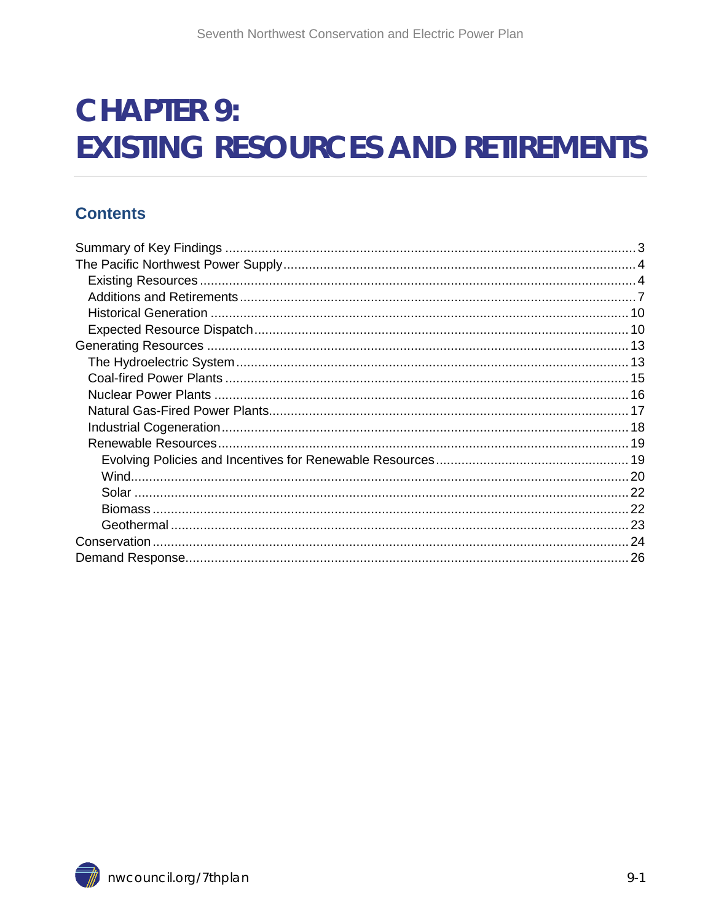# **CHAPTER 9: EXISTING RESOURCES AND RETIREMENTS**

#### **Contents**

<span id="page-0-0"></span>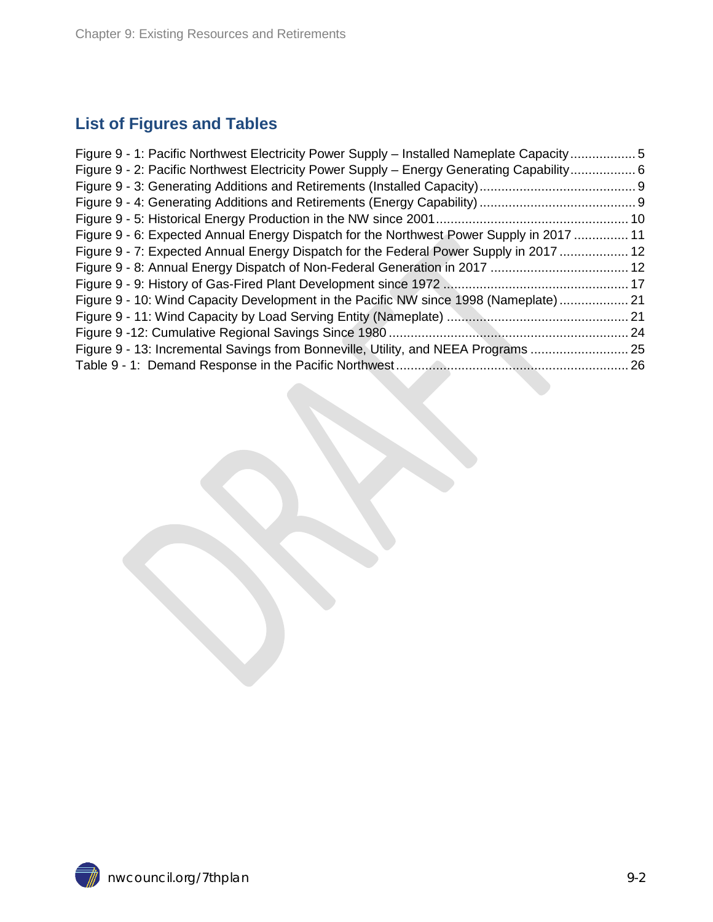#### **List of Figures and Tables**

| Figure 9 - 1: Pacific Northwest Electricity Power Supply – Installed Nameplate Capacity5  |  |
|-------------------------------------------------------------------------------------------|--|
| Figure 9 - 2: Pacific Northwest Electricity Power Supply - Energy Generating Capability 6 |  |
|                                                                                           |  |
|                                                                                           |  |
|                                                                                           |  |
| Figure 9 - 6: Expected Annual Energy Dispatch for the Northwest Power Supply in 2017  11  |  |
| Figure 9 - 7: Expected Annual Energy Dispatch for the Federal Power Supply in 2017  12    |  |
|                                                                                           |  |
|                                                                                           |  |
| Figure 9 - 10: Wind Capacity Development in the Pacific NW since 1998 (Nameplate)  21     |  |
|                                                                                           |  |
|                                                                                           |  |
| Figure 9 - 13: Incremental Savings from Bonneville, Utility, and NEEA Programs  25        |  |
|                                                                                           |  |
|                                                                                           |  |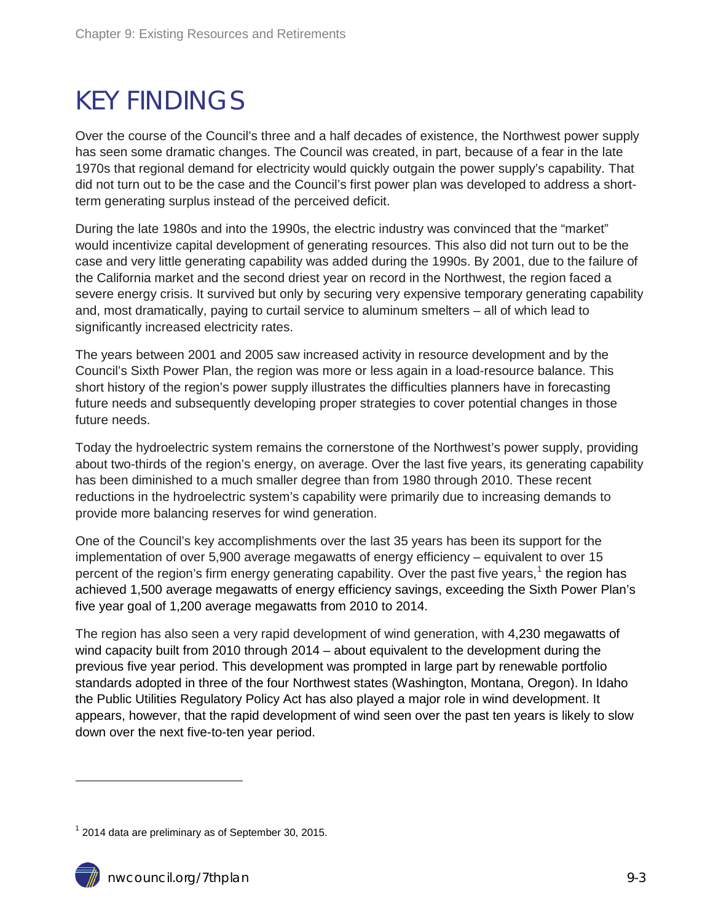## <span id="page-2-0"></span>KEY FINDINGS

Over the course of the Council's three and a half decades of existence, the Northwest power supply has seen some dramatic changes. The Council was created, in part, because of a fear in the late 1970s that regional demand for electricity would quickly outgain the power supply's capability. That did not turn out to be the case and the Council's first power plan was developed to address a shortterm generating surplus instead of the perceived deficit.

During the late 1980s and into the 1990s, the electric industry was convinced that the "market" would incentivize capital development of generating resources. This also did not turn out to be the case and very little generating capability was added during the 1990s. By 2001, due to the failure of the California market and the second driest year on record in the Northwest, the region faced a severe energy crisis. It survived but only by securing very expensive temporary generating capability and, most dramatically, paying to curtail service to aluminum smelters – all of which lead to significantly increased electricity rates.

The years between 2001 and 2005 saw increased activity in resource development and by the Council's Sixth Power Plan, the region was more or less again in a load-resource balance. This short history of the region's power supply illustrates the difficulties planners have in forecasting future needs and subsequently developing proper strategies to cover potential changes in those future needs.

Today the hydroelectric system remains the cornerstone of the Northwest's power supply, providing about two-thirds of the region's energy, on average. Over the last five years, its generating capability has been diminished to a much smaller degree than from 1980 through 2010. These recent reductions in the hydroelectric system's capability were primarily due to increasing demands to provide more balancing reserves for wind generation.

One of the Council's key accomplishments over the last 35 years has been its support for the implementation of over 5,900 average megawatts of energy efficiency – equivalent to over 15 percent of the region's firm energy generating capability. Over the past five years,<sup>[1](#page-0-0)</sup> the region has achieved 1,500 average megawatts of energy efficiency savings, exceeding the Sixth Power Plan's five year goal of 1,200 average megawatts from 2010 to 2014.

The region has also seen a very rapid development of wind generation, with 4,230 megawatts of wind capacity built from 2010 through 2014 – about equivalent to the development during the previous five year period. This development was prompted in large part by renewable portfolio standards adopted in three of the four Northwest states (Washington, Montana, Oregon). In Idaho the Public Utilities Regulatory Policy Act has also played a major role in wind development. It appears, however, that the rapid development of wind seen over the past ten years is likely to slow down over the next five-to-ten year period.

<span id="page-2-1"></span> $1$  2014 data are preliminary as of September 30, 2015.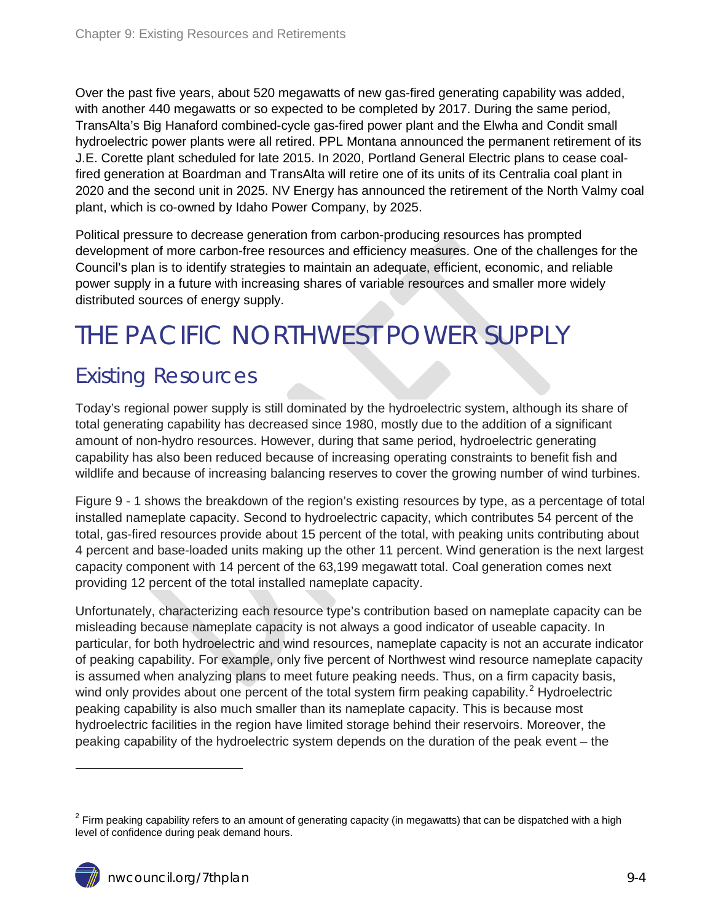Over the past five years, about 520 megawatts of new gas-fired generating capability was added, with another 440 megawatts or so expected to be completed by 2017. During the same period, TransAlta's Big Hanaford combined-cycle gas-fired power plant and the Elwha and Condit small hydroelectric power plants were all retired. PPL Montana announced the permanent retirement of its J.E. Corette plant scheduled for late 2015. In 2020, Portland General Electric plans to cease coalfired generation at Boardman and TransAlta will retire one of its units of its Centralia coal plant in 2020 and the second unit in 2025. NV Energy has announced the retirement of the North Valmy coal plant, which is co-owned by Idaho Power Company, by 2025.

Political pressure to decrease generation from carbon-producing resources has prompted development of more carbon-free resources and efficiency measures. One of the challenges for the Council's plan is to identify strategies to maintain an adequate, efficient, economic, and reliable power supply in a future with increasing shares of variable resources and smaller more widely distributed sources of energy supply.

## <span id="page-3-0"></span>THE PACIFIC NORTHWEST POWER SUPPLY

### <span id="page-3-1"></span>Existing Resources

Today's regional power supply is still dominated by the hydroelectric system, although its share of total generating capability has decreased since 1980, mostly due to the addition of a significant amount of non-hydro resources. However, during that same period, hydroelectric generating capability has also been reduced because of increasing operating constraints to benefit fish and wildlife and because of increasing balancing reserves to cover the growing number of wind turbines.

Figure 9 - 1 shows the breakdown of the region's existing resources by type, as a percentage of total installed nameplate capacity. Second to hydroelectric capacity, which contributes 54 percent of the total, gas-fired resources provide about 15 percent of the total, with peaking units contributing about 4 percent and base-loaded units making up the other 11 percent. Wind generation is the next largest capacity component with 14 percent of the 63,199 megawatt total. Coal generation comes next providing 12 percent of the total installed nameplate capacity.

Unfortunately, characterizing each resource type's contribution based on nameplate capacity can be misleading because nameplate capacity is not always a good indicator of useable capacity. In particular, for both hydroelectric and wind resources, nameplate capacity is not an accurate indicator of peaking capability. For example, only five percent of Northwest wind resource nameplate capacity is assumed when analyzing plans to meet future peaking needs. Thus, on a firm capacity basis, wind only provides about one percent of the total system firm peaking capability.<sup>[2](#page-2-1)</sup> Hydroelectric peaking capability is also much smaller than its nameplate capacity. This is because most hydroelectric facilities in the region have limited storage behind their reservoirs. Moreover, the peaking capability of the hydroelectric system depends on the duration of the peak event – the

<span id="page-3-2"></span> $2$  Firm peaking capability refers to an amount of generating capacity (in megawatts) that can be dispatched with a high level of confidence during peak demand hours.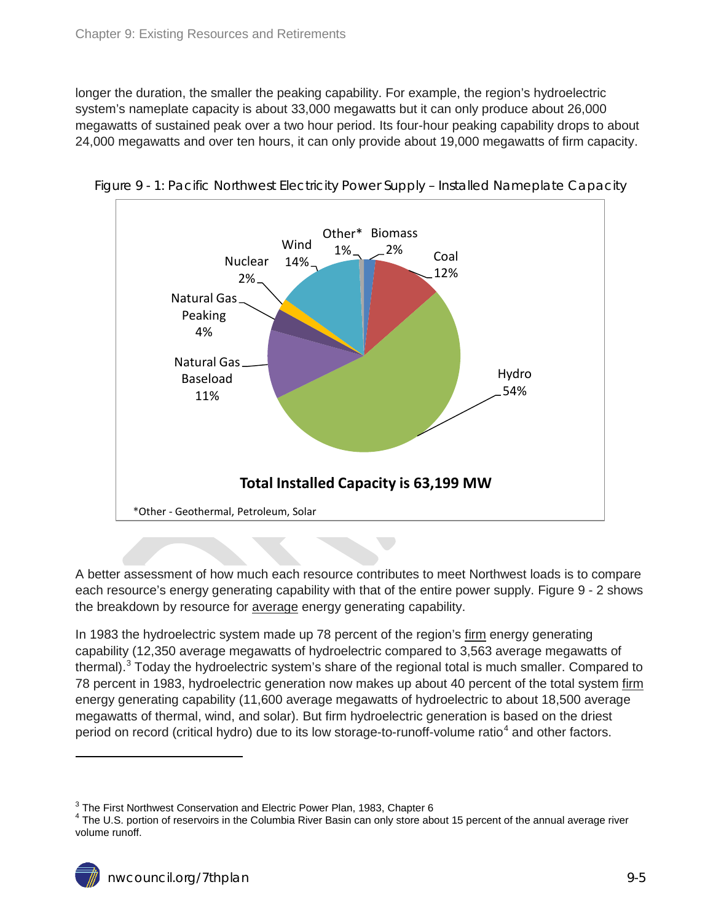longer the duration, the smaller the peaking capability. For example, the region's hydroelectric system's nameplate capacity is about 33,000 megawatts but it can only produce about 26,000 megawatts of sustained peak over a two hour period. Its four-hour peaking capability drops to about 24,000 megawatts and over ten hours, it can only provide about 19,000 megawatts of firm capacity.



<span id="page-4-0"></span>Figure 9 - 1: Pacific Northwest Electricity Power Supply – Installed Nameplate Capacity

A better assessment of how much each resource contributes to meet Northwest loads is to compare each resource's energy generating capability with that of the entire power supply. Figure 9 - 2 shows the breakdown by resource for average energy generating capability.

In 1983 the hydroelectric system made up 78 percent of the region's firm energy generating capability (12,350 average megawatts of hydroelectric compared to 3,563 average megawatts of thermal).<sup>[3](#page-3-2)</sup> Today the hydroelectric system's share of the regional total is much smaller. Compared to 78 percent in 1983, hydroelectric generation now makes up about 40 percent of the total system firm energy generating capability (11,600 average megawatts of hydroelectric to about 18,500 average megawatts of thermal, wind, and solar). But firm hydroelectric generation is based on the driest period on record (critical hydro) due to its low storage-to-runoff-volume ratio<sup>[4](#page-4-1)</sup> and other factors.

 $3$  The First Northwest Conservation and Electric Power Plan, 1983, Chapter 6

<span id="page-4-2"></span><span id="page-4-1"></span><sup>&</sup>lt;sup>4</sup> The U.S. portion of reservoirs in the Columbia River Basin can only store about 15 percent of the annual average river volume runoff.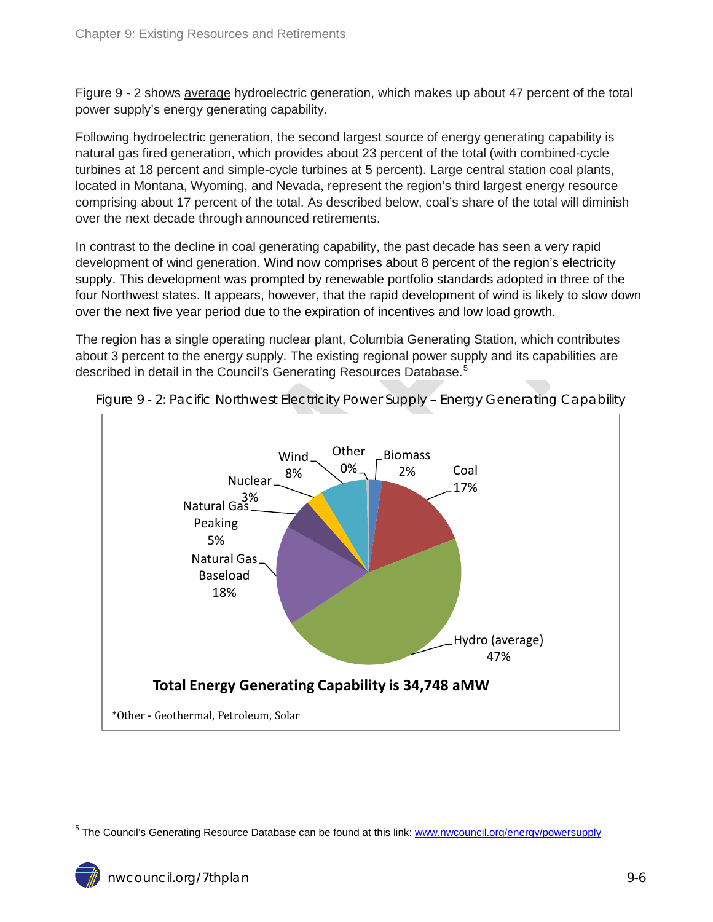Figure 9 - 2 shows average hydroelectric generation, which makes up about 47 percent of the total power supply's energy generating capability.

Following hydroelectric generation, the second largest source of energy generating capability is natural gas fired generation, which provides about 23 percent of the total (with combined-cycle turbines at 18 percent and simple-cycle turbines at 5 percent). Large central station coal plants, located in Montana, Wyoming, and Nevada, represent the region's third largest energy resource comprising about 17 percent of the total. As described below, coal's share of the total will diminish over the next decade through announced retirements.

In contrast to the decline in coal generating capability, the past decade has seen a very rapid development of wind generation. Wind now comprises about 8 percent of the region's electricity supply. This development was prompted by renewable portfolio standards adopted in three of the four Northwest states. It appears, however, that the rapid development of wind is likely to slow down over the next five year period due to the expiration of incentives and low load growth.

The region has a single operating nuclear plant, Columbia Generating Station, which contributes about 3 percent to the energy supply. The existing regional power supply and its capabilities are described in detail in the Council's Generating Resources Database.<sup>[5](#page-4-2)</sup>



<span id="page-5-1"></span>Figure 9 - 2: Pacific Northwest Electricity Power Supply – Energy Generating Capability

<span id="page-5-2"></span><span id="page-5-0"></span><sup>&</sup>lt;sup>5</sup> The Council's Generating Resource Database can be found at this link: [www.nwcouncil.org/energy/powersupply](http://www.nwcouncil.org/energy/powersupply)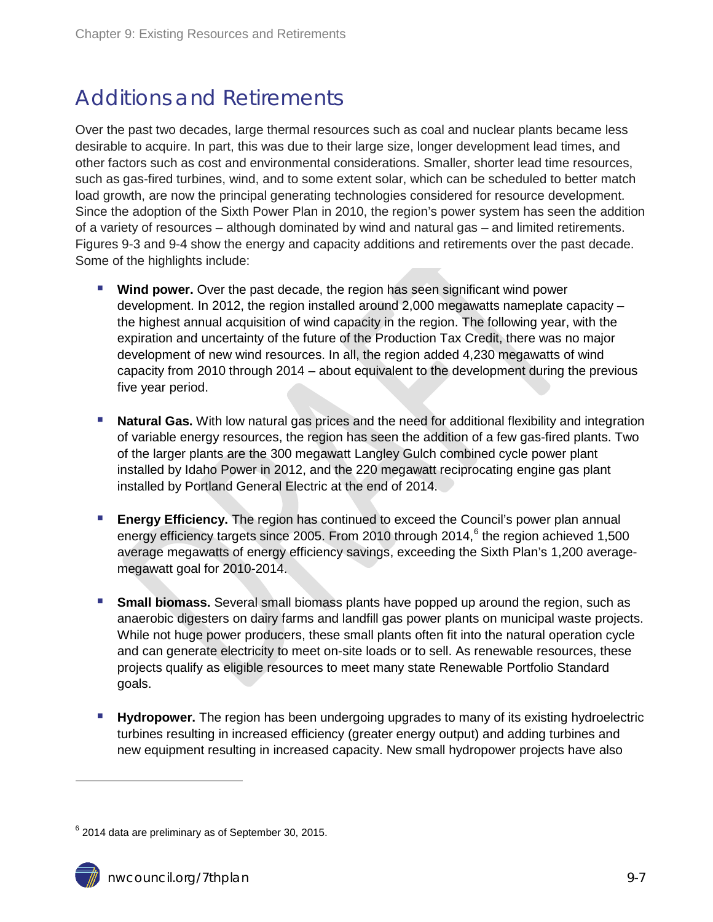### Additions and Retirements

Over the past two decades, large thermal resources such as coal and nuclear plants became less desirable to acquire. In part, this was due to their large size, longer development lead times, and other factors such as cost and environmental considerations. Smaller, shorter lead time resources, such as gas-fired turbines, wind, and to some extent solar, which can be scheduled to better match load growth, are now the principal generating technologies considered for resource development. Since the adoption of the Sixth Power Plan in 2010, the region's power system has seen the addition of a variety of resources – although dominated by wind and natural gas – and limited retirements. Figures 9-3 and 9-4 show the energy and capacity additions and retirements over the past decade. Some of the highlights include:

- **Wind power.** Over the past decade, the region has seen significant wind power development. In 2012, the region installed around 2,000 megawatts nameplate capacity – the highest annual acquisition of wind capacity in the region. The following year, with the expiration and uncertainty of the future of the Production Tax Credit, there was no major development of new wind resources. In all, the region added 4,230 megawatts of wind capacity from 2010 through 2014 – about equivalent to the development during the previous five year period.
- **Natural Gas.** With low natural gas prices and the need for additional flexibility and integration of variable energy resources, the region has seen the addition of a few gas-fired plants. Two of the larger plants are the 300 megawatt Langley Gulch combined cycle power plant installed by Idaho Power in 2012, and the 220 megawatt reciprocating engine gas plant installed by Portland General Electric at the end of 2014.
- **Energy Efficiency.** The region has continued to exceed the Council's power plan annual energy efficiency targets since 2005. From 2010 through 2014, $<sup>6</sup>$  $<sup>6</sup>$  $<sup>6</sup>$  the region achieved 1,500</sup> average megawatts of energy efficiency savings, exceeding the Sixth Plan's 1,200 averagemegawatt goal for 2010-2014.
- **Small biomass.** Several small biomass plants have popped up around the region, such as anaerobic digesters on dairy farms and landfill gas power plants on municipal waste projects. While not huge power producers, these small plants often fit into the natural operation cycle and can generate electricity to meet on-site loads or to sell. As renewable resources, these projects qualify as eligible resources to meet many state Renewable Portfolio Standard goals.
- **Hydropower.** The region has been undergoing upgrades to many of its existing hydroelectric turbines resulting in increased efficiency (greater energy output) and adding turbines and new equipment resulting in increased capacity. New small hydropower projects have also

<span id="page-6-0"></span> $6$  2014 data are preliminary as of September 30, 2015.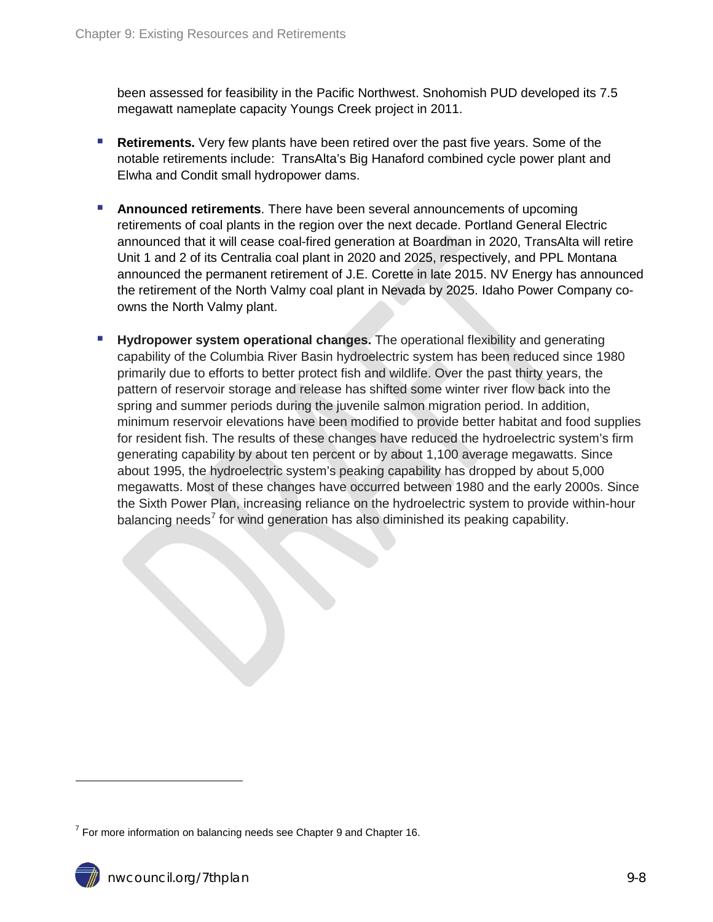been assessed for feasibility in the Pacific Northwest. Snohomish PUD developed its 7.5 megawatt nameplate capacity Youngs Creek project in 2011.

- **Retirements.** Very few plants have been retired over the past five years. Some of the notable retirements include: TransAlta's Big Hanaford combined cycle power plant and Elwha and Condit small hydropower dams.
- **Announced retirements**. There have been several announcements of upcoming retirements of coal plants in the region over the next decade. Portland General Electric announced that it will cease coal-fired generation at Boardman in 2020, TransAlta will retire Unit 1 and 2 of its Centralia coal plant in 2020 and 2025, respectively, and PPL Montana announced the permanent retirement of J.E. Corette in late 2015. NV Energy has announced the retirement of the North Valmy coal plant in Nevada by 2025. Idaho Power Company coowns the North Valmy plant.
- **Hydropower system operational changes.** The operational flexibility and generating capability of the Columbia River Basin hydroelectric system has been reduced since 1980 primarily due to efforts to better protect fish and wildlife. Over the past thirty years, the pattern of reservoir storage and release has shifted some winter river flow back into the spring and summer periods during the juvenile salmon migration period. In addition, minimum reservoir elevations have been modified to provide better habitat and food supplies for resident fish. The results of these changes have reduced the hydroelectric system's firm generating capability by about ten percent or by about 1,100 average megawatts. Since about 1995, the hydroelectric system's peaking capability has dropped by about 5,000 megawatts. Most of these changes have occurred between 1980 and the early 2000s. Since the Sixth Power Plan, increasing reliance on the hydroelectric system to provide within-hour balancing needs<sup>[7](#page-6-0)</sup> for wind generation has also diminished its peaking capability.

<span id="page-7-0"></span> $7$  For more information on balancing needs see Chapter 9 and Chapter 16.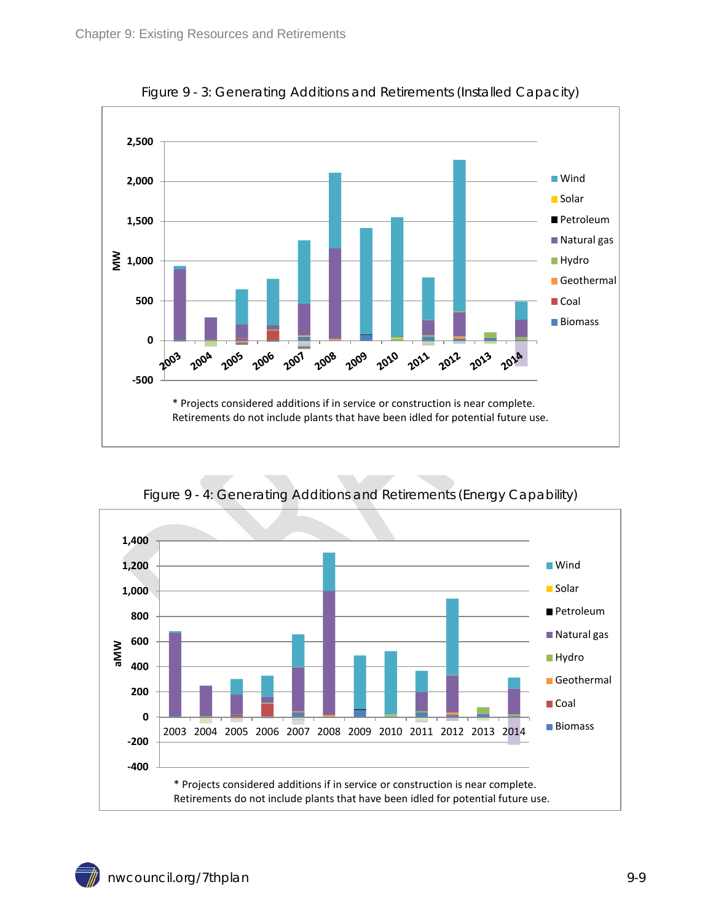<span id="page-8-0"></span>

Figure 9 - 3: Generating Additions and Retirements (Installed Capacity)

<span id="page-8-1"></span>

Figure 9 - 4: Generating Additions and Retirements (Energy Capability)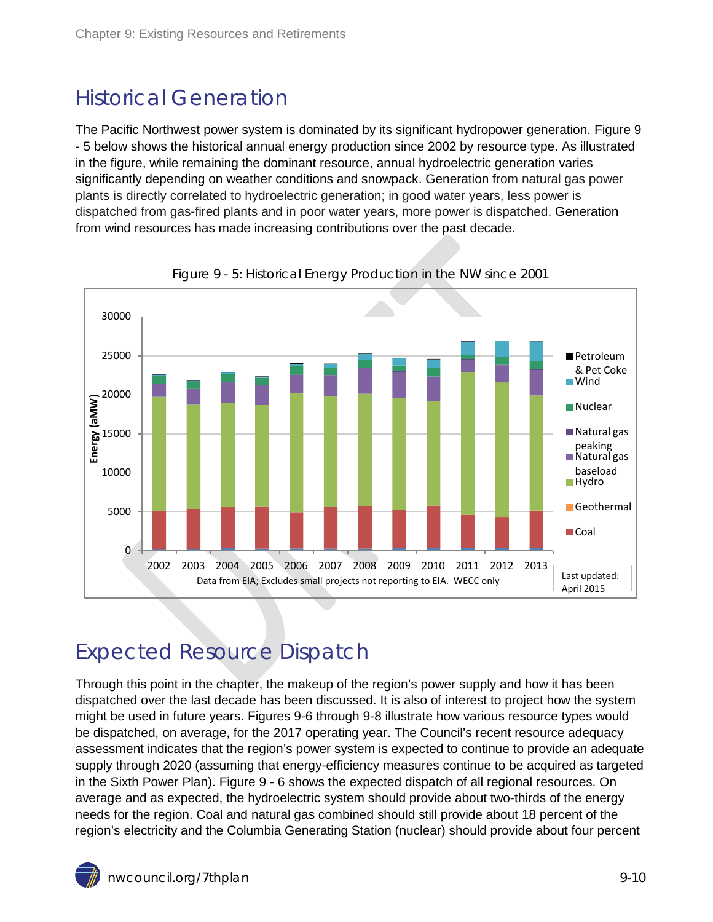### <span id="page-9-0"></span>Historical Generation

The Pacific Northwest power system is dominated by its significant hydropower generation. Figure 9 - 5 below shows the historical annual energy production since 2002 by resource type. As illustrated in the figure, while remaining the dominant resource, annual hydroelectric generation varies significantly depending on weather conditions and snowpack. Generation from natural gas power plants is directly correlated to hydroelectric generation; in good water years, less power is dispatched from gas-fired plants and in poor water years, more power is dispatched. Generation from wind resources has made increasing contributions over the past decade.

<span id="page-9-2"></span>

Figure 9 - 5: Historical Energy Production in the NW since 2001

### <span id="page-9-1"></span>Expected Resource Dispatch

Through this point in the chapter, the makeup of the region's power supply and how it has been dispatched over the last decade has been discussed. It is also of interest to project how the system might be used in future years. Figures 9-6 through 9-8 illustrate how various resource types would be dispatched, on average, for the 2017 operating year. The Council's recent resource adequacy assessment indicates that the region's power system is expected to continue to provide an adequate supply through 2020 (assuming that energy-efficiency measures continue to be acquired as targeted in the Sixth Power Plan). Figure 9 - 6 shows the expected dispatch of all regional resources. On average and as expected, the hydroelectric system should provide about two-thirds of the energy needs for the region. Coal and natural gas combined should still provide about 18 percent of the region's electricity and the Columbia Generating Station (nuclear) should provide about four percent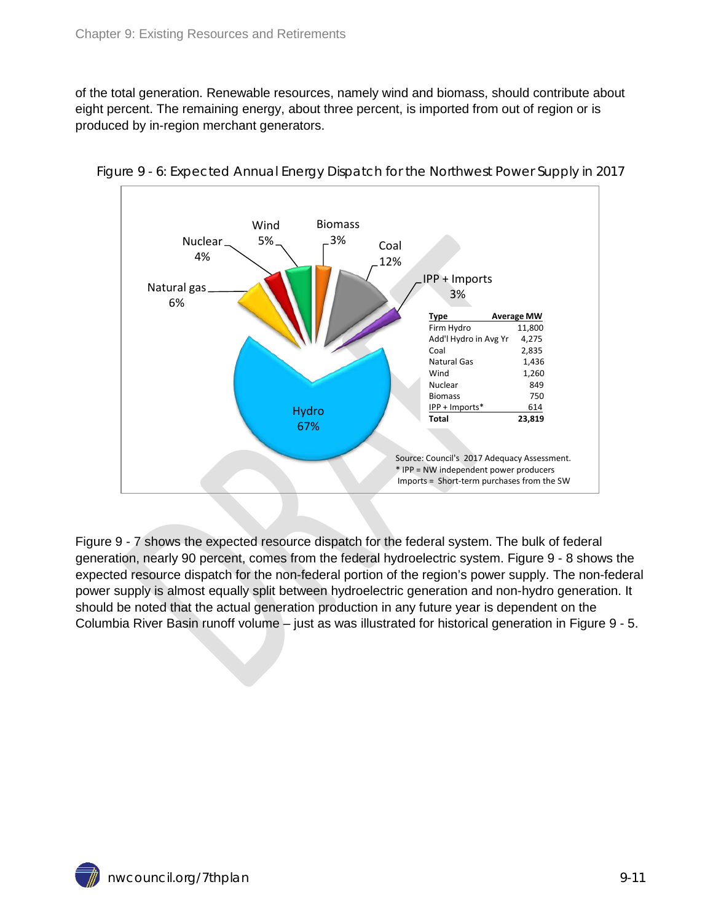of the total generation. Renewable resources, namely wind and biomass, should contribute about eight percent. The remaining energy, about three percent, is imported from out of region or is produced by in-region merchant generators.



<span id="page-10-0"></span>Figure 9 - 6: Expected Annual Energy Dispatch for the Northwest Power Supply in 2017

Figure 9 - 7 shows the expected resource dispatch for the federal system. The bulk of federal generation, nearly 90 percent, comes from the federal hydroelectric system. Figure 9 - 8 shows the expected resource dispatch for the non-federal portion of the region's power supply. The non-federal power supply is almost equally split between hydroelectric generation and non-hydro generation. It should be noted that the actual generation production in any future year is dependent on the Columbia River Basin runoff volume – just as was illustrated for historical generation in Figure 9 - 5.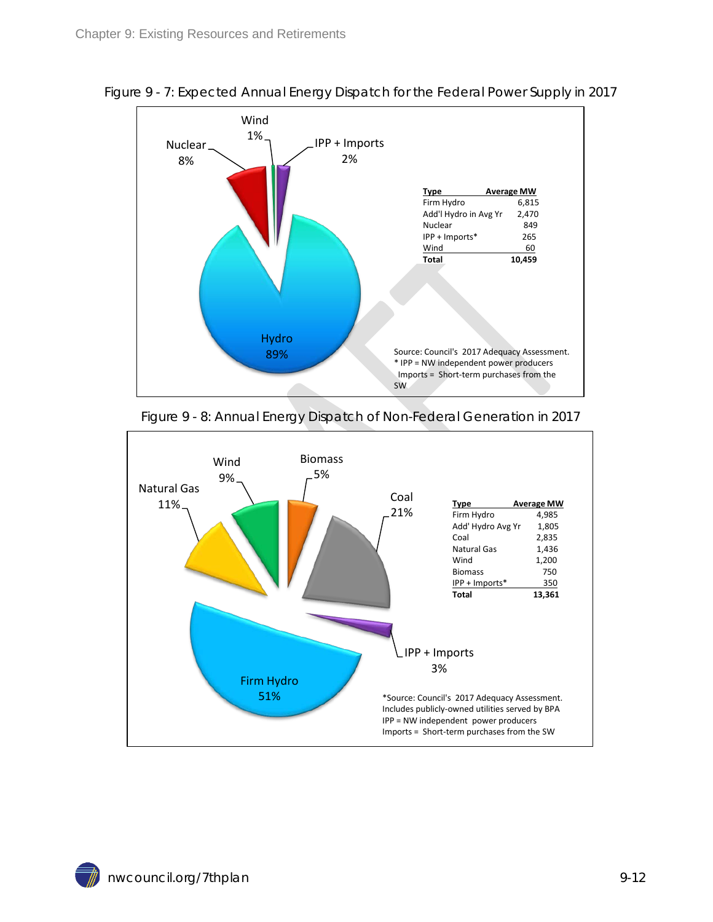

<span id="page-11-0"></span>Figure 9 - 7: Expected Annual Energy Dispatch for the Federal Power Supply in 2017



<span id="page-11-1"></span>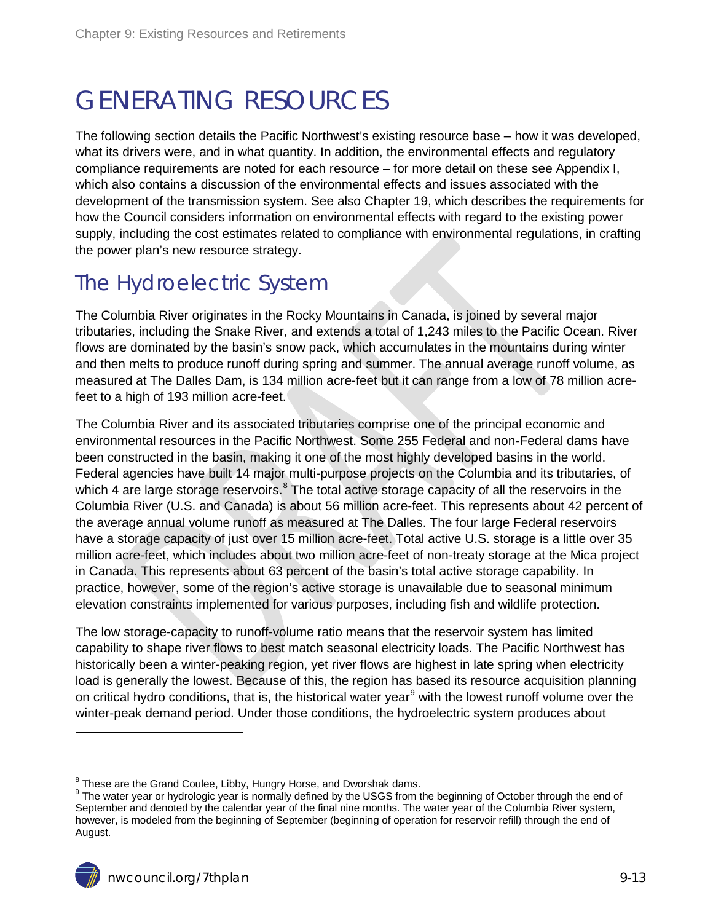## <span id="page-12-0"></span>GENERATING RESOURCES

The following section details the Pacific Northwest's existing resource base – how it was developed, what its drivers were, and in what quantity. In addition, the environmental effects and regulatory compliance requirements are noted for each resource – for more detail on these see Appendix I, which also contains a discussion of the environmental effects and issues associated with the development of the transmission system. See also Chapter 19, which describes the requirements for how the Council considers information on environmental effects with regard to the existing power supply, including the cost estimates related to compliance with environmental regulations, in crafting the power plan's new resource strategy.

### <span id="page-12-1"></span>The Hydroelectric System

The Columbia River originates in the Rocky Mountains in Canada, is joined by several major tributaries, including the Snake River, and extends a total of 1,243 miles to the Pacific Ocean. River flows are dominated by the basin's snow pack, which accumulates in the mountains during winter and then melts to produce runoff during spring and summer. The annual average runoff volume, as measured at The Dalles Dam, is 134 million acre-feet but it can range from a low of 78 million acrefeet to a high of 193 million acre-feet.

The Columbia River and its associated tributaries comprise one of the principal economic and environmental resources in the Pacific Northwest. Some 255 Federal and non-Federal dams have been constructed in the basin, making it one of the most highly developed basins in the world. Federal agencies have built 14 major multi-purpose projects on the Columbia and its tributaries, of which 4 are large storage reservoirs.<sup>[8](#page-7-0)</sup> The total active storage capacity of all the reservoirs in the Columbia River (U.S. and Canada) is about 56 million acre-feet. This represents about 42 percent of the average annual volume runoff as measured at The Dalles. The four large Federal reservoirs have a storage capacity of just over 15 million acre-feet. Total active U.S. storage is a little over 35 million acre-feet, which includes about two million acre-feet of non-treaty storage at the Mica project in Canada. This represents about 63 percent of the basin's total active storage capability. In practice, however, some of the region's active storage is unavailable due to seasonal minimum elevation constraints implemented for various purposes, including fish and wildlife protection.

The low storage-capacity to runoff-volume ratio means that the reservoir system has limited capability to shape river flows to best match seasonal electricity loads. The Pacific Northwest has historically been a winter-peaking region, yet river flows are highest in late spring when electricity load is generally the lowest. Because of this, the region has based its resource acquisition planning on critical hydro conditions, that is, the historical water year<sup>[9](#page-12-2)</sup> with the lowest runoff volume over the winter-peak demand period. Under those conditions, the hydroelectric system produces about

<span id="page-12-3"></span><span id="page-12-2"></span><sup>&</sup>lt;sup>8</sup> These are the Grand Coulee, Libby, Hungry Horse, and Dworshak dams.<br><sup>9</sup> The water year or hydrologic year is normally defined by the USGS from the beginning of October through the end of September and denoted by the calendar year of the final nine months. The water year of the Columbia River system, however, is modeled from the beginning of September (beginning of operation for reservoir refill) through the end of August.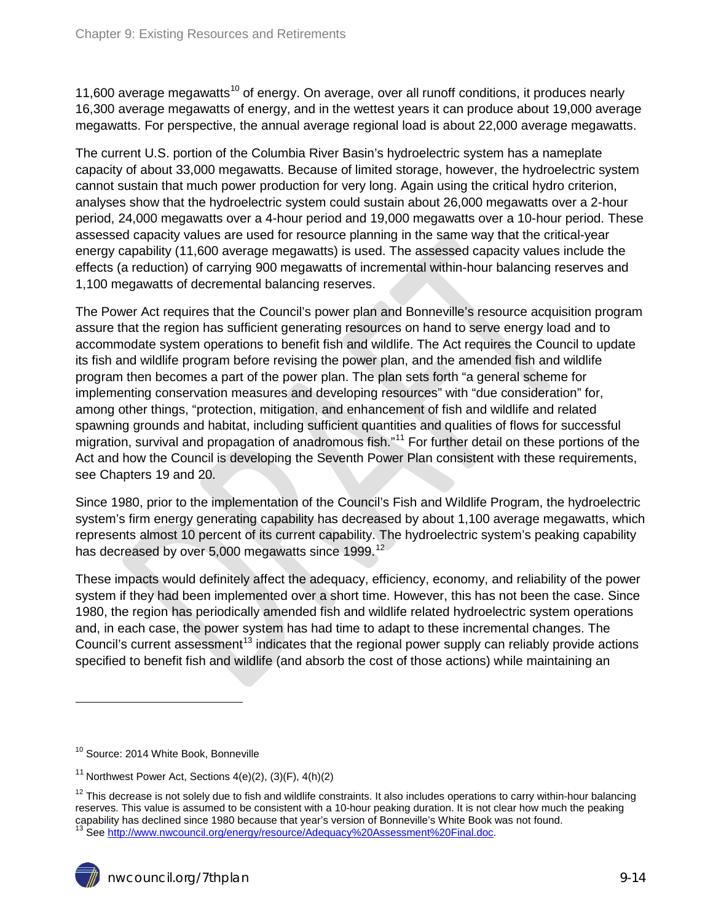11,600 average megawatts<sup>[10](#page-12-3)</sup> of energy. On average, over all runoff conditions, it produces nearly 16,300 average megawatts of energy, and in the wettest years it can produce about 19,000 average megawatts. For perspective, the annual average regional load is about 22,000 average megawatts.

The current U.S. portion of the Columbia River Basin's hydroelectric system has a nameplate capacity of about 33,000 megawatts. Because of limited storage, however, the hydroelectric system cannot sustain that much power production for very long. Again using the critical hydro criterion, analyses show that the hydroelectric system could sustain about 26,000 megawatts over a 2-hour period, 24,000 megawatts over a 4-hour period and 19,000 megawatts over a 10-hour period. These assessed capacity values are used for resource planning in the same way that the critical-year energy capability (11,600 average megawatts) is used. The assessed capacity values include the effects (a reduction) of carrying 900 megawatts of incremental within-hour balancing reserves and 1,100 megawatts of decremental balancing reserves.

The Power Act requires that the Council's power plan and Bonneville's resource acquisition program assure that the region has sufficient generating resources on hand to serve energy load and to accommodate system operations to benefit fish and wildlife. The Act requires the Council to update its fish and wildlife program before revising the power plan, and the amended fish and wildlife program then becomes a part of the power plan. The plan sets forth "a general scheme for implementing conservation measures and developing resources" with "due consideration" for, among other things, "protection, mitigation, and enhancement of fish and wildlife and related spawning grounds and habitat, including sufficient quantities and qualities of flows for successful migration, survival and propagation of anadromous fish."<sup>[11](#page-13-0)</sup> For further detail on these portions of the Act and how the Council is developing the Seventh Power Plan consistent with these requirements, see Chapters 19 and 20.

Since 1980, prior to the implementation of the Council's Fish and Wildlife Program, the hydroelectric system's firm energy generating capability has decreased by about 1,100 average megawatts, which represents almost 10 percent of its current capability. The hydroelectric system's peaking capability has decreased by over 5,000 megawatts since 1999.<sup>[12](#page-13-1)</sup>

These impacts would definitely affect the adequacy, efficiency, economy, and reliability of the power system if they had been implemented over a short time. However, this has not been the case. Since 1980, the region has periodically amended fish and wildlife related hydroelectric system operations and, in each case, the power system has had time to adapt to these incremental changes. The Council's current assessment<sup>[13](#page-13-2)</sup> indicates that the regional power supply can reliably provide actions specified to benefit fish and wildlife (and absorb the cost of those actions) while maintaining an

<sup>&</sup>lt;sup>10</sup> Source: 2014 White Book, Bonneville

<span id="page-13-0"></span><sup>&</sup>lt;sup>11</sup> Northwest Power Act, Sections  $4(e)(2)$ ,  $(3)(F)$ ,  $4(h)(2)$ 

<span id="page-13-3"></span><span id="page-13-2"></span><span id="page-13-1"></span> $12$  This decrease is not solely due to fish and wildlife constraints. It also includes operations to carry within-hour balancing reserves. This value is assumed to be consistent with a 10-hour peaking duration. It is not clear how much the peaking capability has declined since 1980 because that year's version of Bonneville's White Book was not found.<br><sup>13</sup> Se[e http://www.nwcouncil.org/energy/resource/Adequacy%20Assessment%20Final.doc.](http://www.nwcouncil.org/energy/resource/Adequacy%20Assessment%20Final.doc)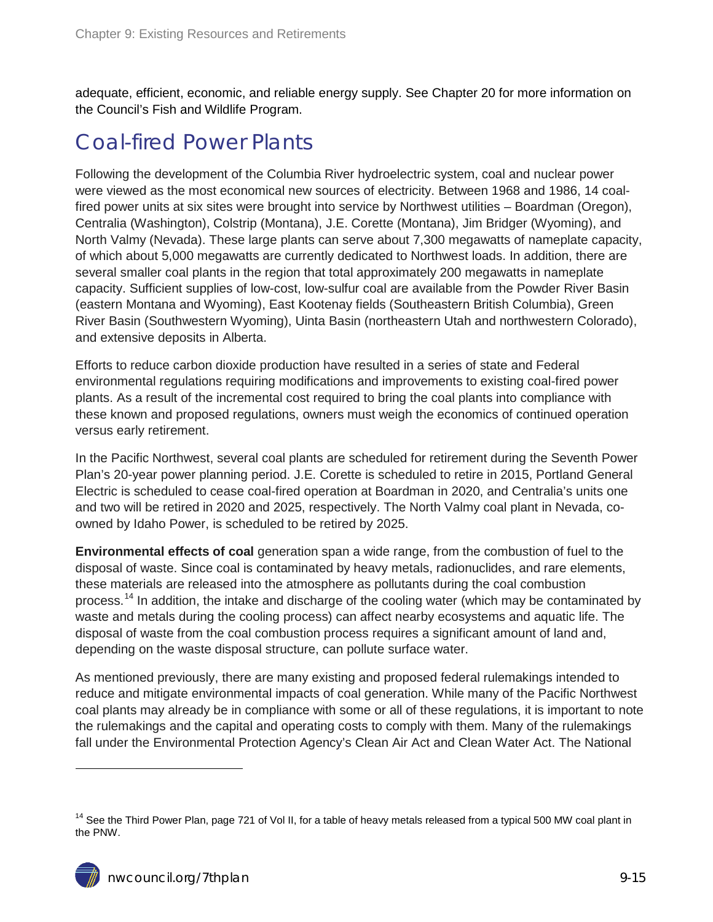adequate, efficient, economic, and reliable energy supply. See Chapter 20 for more information on the Council's Fish and Wildlife Program.

#### <span id="page-14-0"></span>Coal-fired Power Plants

Following the development of the Columbia River hydroelectric system, coal and nuclear power were viewed as the most economical new sources of electricity. Between 1968 and 1986, 14 coalfired power units at six sites were brought into service by Northwest utilities – Boardman (Oregon), Centralia (Washington), Colstrip (Montana), J.E. Corette (Montana), Jim Bridger (Wyoming), and North Valmy (Nevada). These large plants can serve about 7,300 megawatts of nameplate capacity, of which about 5,000 megawatts are currently dedicated to Northwest loads. In addition, there are several smaller coal plants in the region that total approximately 200 megawatts in nameplate capacity. Sufficient supplies of low-cost, low-sulfur coal are available from the Powder River Basin (eastern Montana and Wyoming), East Kootenay fields (Southeastern British Columbia), Green River Basin (Southwestern Wyoming), Uinta Basin (northeastern Utah and northwestern Colorado), and extensive deposits in Alberta.

Efforts to reduce carbon dioxide production have resulted in a series of state and Federal environmental regulations requiring modifications and improvements to existing coal-fired power plants. As a result of the incremental cost required to bring the coal plants into compliance with these known and proposed regulations, owners must weigh the economics of continued operation versus early retirement.

In the Pacific Northwest, several coal plants are scheduled for retirement during the Seventh Power Plan's 20-year power planning period. J.E. Corette is scheduled to retire in 2015, Portland General Electric is scheduled to cease coal-fired operation at Boardman in 2020, and Centralia's units one and two will be retired in 2020 and 2025, respectively. The North Valmy coal plant in Nevada, coowned by Idaho Power, is scheduled to be retired by 2025.

**Environmental effects of coal** generation span a wide range, from the combustion of fuel to the disposal of waste. Since coal is contaminated by heavy metals, radionuclides, and rare elements, these materials are released into the atmosphere as pollutants during the coal combustion process.<sup>[14](#page-13-3)</sup> In addition, the intake and discharge of the cooling water (which may be contaminated by waste and metals during the cooling process) can affect nearby ecosystems and aquatic life. The disposal of waste from the coal combustion process requires a significant amount of land and, depending on the waste disposal structure, can pollute surface water.

As mentioned previously, there are many existing and proposed federal rulemakings intended to reduce and mitigate environmental impacts of coal generation. While many of the Pacific Northwest coal plants may already be in compliance with some or all of these regulations, it is important to note the rulemakings and the capital and operating costs to comply with them. Many of the rulemakings fall under the Environmental Protection Agency's Clean Air Act and Clean Water Act. The National

<span id="page-14-1"></span><sup>&</sup>lt;sup>14</sup> See the Third Power Plan, page 721 of Vol II, for a table of heavy metals released from a typical 500 MW coal plant in the PNW.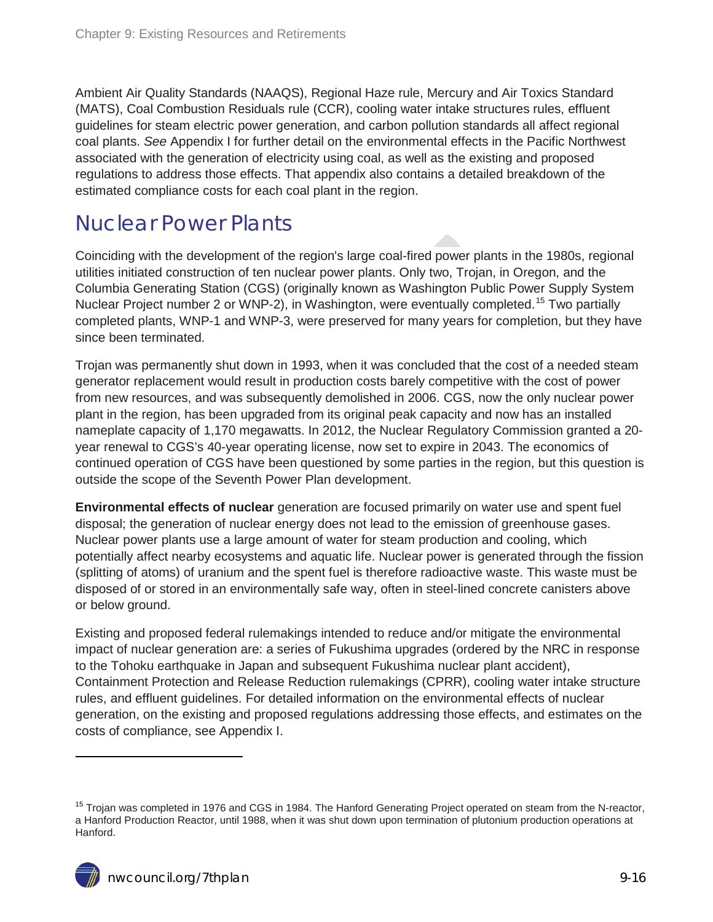Ambient Air Quality Standards (NAAQS), Regional Haze rule, Mercury and Air Toxics Standard (MATS), Coal Combustion Residuals rule (CCR), cooling water intake structures rules, effluent guidelines for steam electric power generation, and carbon pollution standards all affect regional coal plants. *See* Appendix I for further detail on the environmental effects in the Pacific Northwest associated with the generation of electricity using coal, as well as the existing and proposed regulations to address those effects. That appendix also contains a detailed breakdown of the estimated compliance costs for each coal plant in the region.

### <span id="page-15-0"></span>Nuclear Power Plants

Coinciding with the development of the region's large coal-fired power plants in the 1980s, regional utilities initiated construction of ten nuclear power plants. Only two, Trojan, in Oregon, and the Columbia Generating Station (CGS) (originally known as Washington Public Power Supply System Nuclear Project number 2 or WNP-2), in Washington, were eventually completed.<sup>[15](#page-14-1)</sup> Two partially completed plants, WNP-1 and WNP-3, were preserved for many years for completion, but they have since been terminated.

Trojan was permanently shut down in 1993, when it was concluded that the cost of a needed steam generator replacement would result in production costs barely competitive with the cost of power from new resources, and was subsequently demolished in 2006. CGS, now the only nuclear power plant in the region, has been upgraded from its original peak capacity and now has an installed nameplate capacity of 1,170 megawatts. In 2012, the Nuclear Regulatory Commission granted a 20 year renewal to CGS's 40-year operating license, now set to expire in 2043. The economics of continued operation of CGS have been questioned by some parties in the region, but this question is outside the scope of the Seventh Power Plan development.

**Environmental effects of nuclear** generation are focused primarily on water use and spent fuel disposal; the generation of nuclear energy does not lead to the emission of greenhouse gases. Nuclear power plants use a large amount of water for steam production and cooling, which potentially affect nearby ecosystems and aquatic life. Nuclear power is generated through the fission (splitting of atoms) of uranium and the spent fuel is therefore radioactive waste. This waste must be disposed of or stored in an environmentally safe way, often in steel-lined concrete canisters above or below ground.

Existing and proposed federal rulemakings intended to reduce and/or mitigate the environmental impact of nuclear generation are: a series of Fukushima upgrades (ordered by the NRC in response to the Tohoku earthquake in Japan and subsequent Fukushima nuclear plant accident), Containment Protection and Release Reduction rulemakings (CPRR), cooling water intake structure rules, and effluent guidelines. For detailed information on the environmental effects of nuclear generation, on the existing and proposed regulations addressing those effects, and estimates on the costs of compliance, see Appendix I.

<span id="page-15-1"></span><sup>&</sup>lt;sup>15</sup> Troian was completed in 1976 and CGS in 1984. The Hanford Generating Project operated on steam from the N-reactor, a Hanford Production Reactor, until 1988, when it was shut down upon termination of plutonium production operations at Hanford.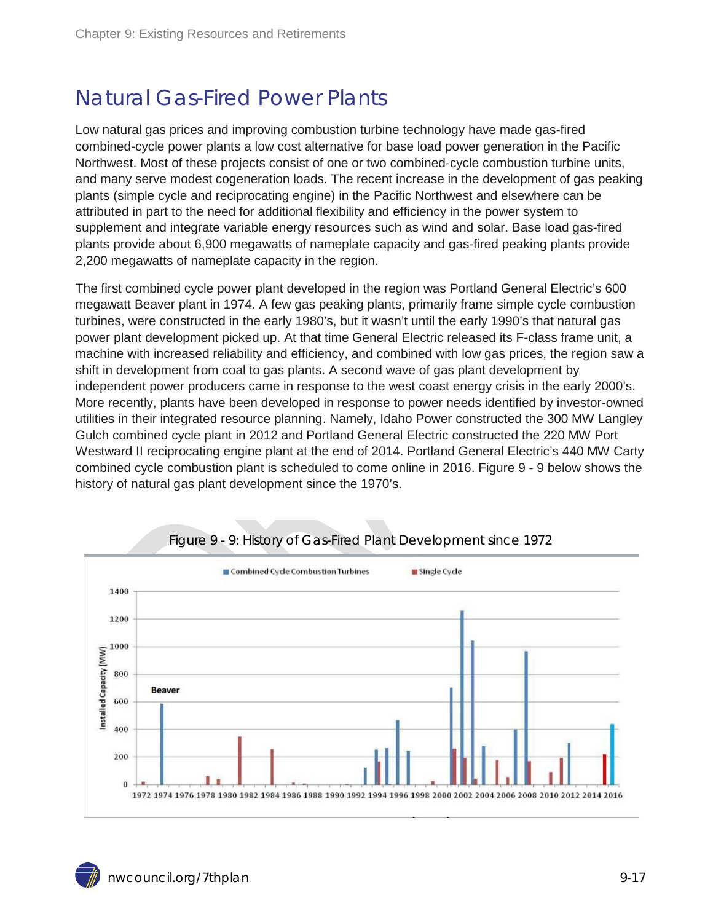### <span id="page-16-0"></span>Natural Gas-Fired Power Plants

Low natural gas prices and improving combustion turbine technology have made gas-fired combined-cycle power plants a low cost alternative for base load power generation in the Pacific Northwest. Most of these projects consist of one or two combined-cycle combustion turbine units, and many serve modest cogeneration loads. The recent increase in the development of gas peaking plants (simple cycle and reciprocating engine) in the Pacific Northwest and elsewhere can be attributed in part to the need for additional flexibility and efficiency in the power system to supplement and integrate variable energy resources such as wind and solar. Base load gas-fired plants provide about 6,900 megawatts of nameplate capacity and gas-fired peaking plants provide 2,200 megawatts of nameplate capacity in the region.

The first combined cycle power plant developed in the region was Portland General Electric's 600 megawatt Beaver plant in 1974. A few gas peaking plants, primarily frame simple cycle combustion turbines, were constructed in the early 1980's, but it wasn't until the early 1990's that natural gas power plant development picked up. At that time General Electric released its F-class frame unit, a machine with increased reliability and efficiency, and combined with low gas prices, the region saw a shift in development from coal to gas plants. A second wave of gas plant development by independent power producers came in response to the west coast energy crisis in the early 2000's. More recently, plants have been developed in response to power needs identified by investor-owned utilities in their integrated resource planning. Namely, Idaho Power constructed the 300 MW Langley Gulch combined cycle plant in 2012 and Portland General Electric constructed the 220 MW Port Westward II reciprocating engine plant at the end of 2014. Portland General Electric's 440 MW Carty combined cycle combustion plant is scheduled to come online in 2016. Figure 9 - 9 below shows the history of natural gas plant development since the 1970's.

<span id="page-16-1"></span>

#### Figure 9 - 9: History of Gas-Fired Plant Development since 1972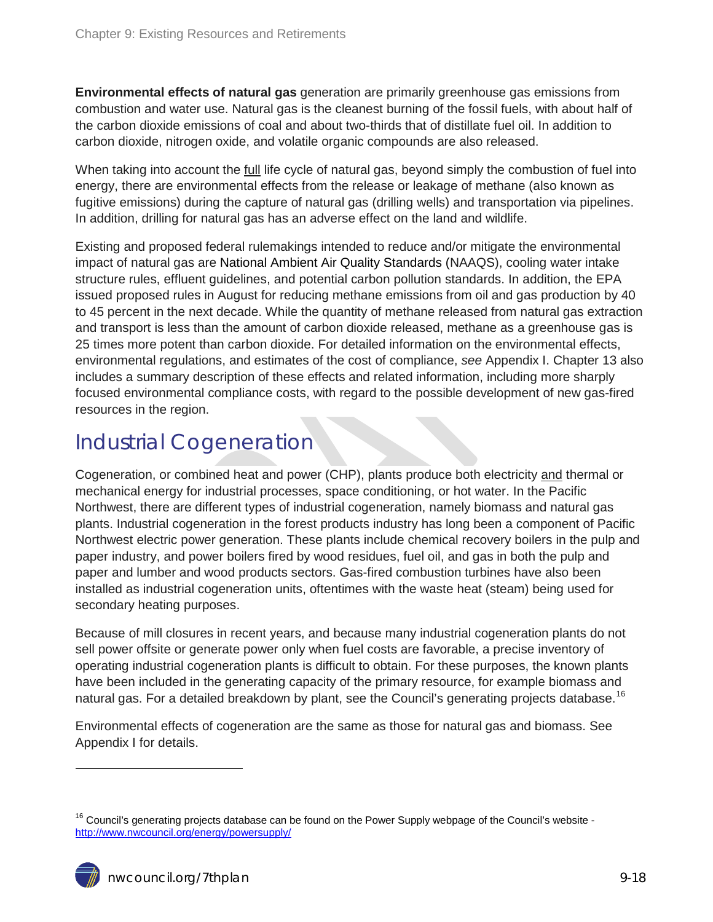**Environmental effects of natural gas** generation are primarily greenhouse gas emissions from combustion and water use. Natural gas is the cleanest burning of the fossil fuels, with about half of the carbon dioxide emissions of coal and about two-thirds that of distillate fuel oil. In addition to carbon dioxide, nitrogen oxide, and volatile organic compounds are also released.

When taking into account the full life cycle of natural gas, beyond simply the combustion of fuel into energy, there are environmental effects from the release or leakage of methane (also known as fugitive emissions) during the capture of natural gas (drilling wells) and transportation via pipelines. In addition, drilling for natural gas has an adverse effect on the land and wildlife.

Existing and proposed federal rulemakings intended to reduce and/or mitigate the environmental impact of natural gas are National Ambient Air Quality Standards (NAAQS), cooling water intake structure rules, effluent guidelines, and potential carbon pollution standards. In addition, the EPA issued proposed rules in August for reducing methane emissions from oil and gas production by 40 to 45 percent in the next decade. While the quantity of methane released from natural gas extraction and transport is less than the amount of carbon dioxide released, methane as a greenhouse gas is 25 times more potent than carbon dioxide. For detailed information on the environmental effects, environmental regulations, and estimates of the cost of compliance, *see* Appendix I. Chapter 13 also includes a summary description of these effects and related information, including more sharply focused environmental compliance costs, with regard to the possible development of new gas-fired resources in the region.

### <span id="page-17-0"></span>Industrial Cogeneration

Cogeneration, or combined heat and power (CHP), plants produce both electricity and thermal or mechanical energy for industrial processes, space conditioning, or hot water. In the Pacific Northwest, there are different types of industrial cogeneration, namely biomass and natural gas plants. Industrial cogeneration in the forest products industry has long been a component of Pacific Northwest electric power generation. These plants include chemical recovery boilers in the pulp and paper industry, and power boilers fired by wood residues, fuel oil, and gas in both the pulp and paper and lumber and wood products sectors. Gas-fired combustion turbines have also been installed as industrial cogeneration units, oftentimes with the waste heat (steam) being used for secondary heating purposes.

Because of mill closures in recent years, and because many industrial cogeneration plants do not sell power offsite or generate power only when fuel costs are favorable, a precise inventory of operating industrial cogeneration plants is difficult to obtain. For these purposes, the known plants have been included in the generating capacity of the primary resource, for example biomass and natural gas. For a detailed breakdown by plant, see the Council's generating projects database.<sup>[16](#page-15-1)</sup>

<span id="page-17-1"></span>Environmental effects of cogeneration are the same as those for natural gas and biomass. See Appendix I for details.

<sup>&</sup>lt;sup>16</sup> Council's generating projects database can be found on the Power Supply webpage of the Council's website <http://www.nwcouncil.org/energy/powersupply/>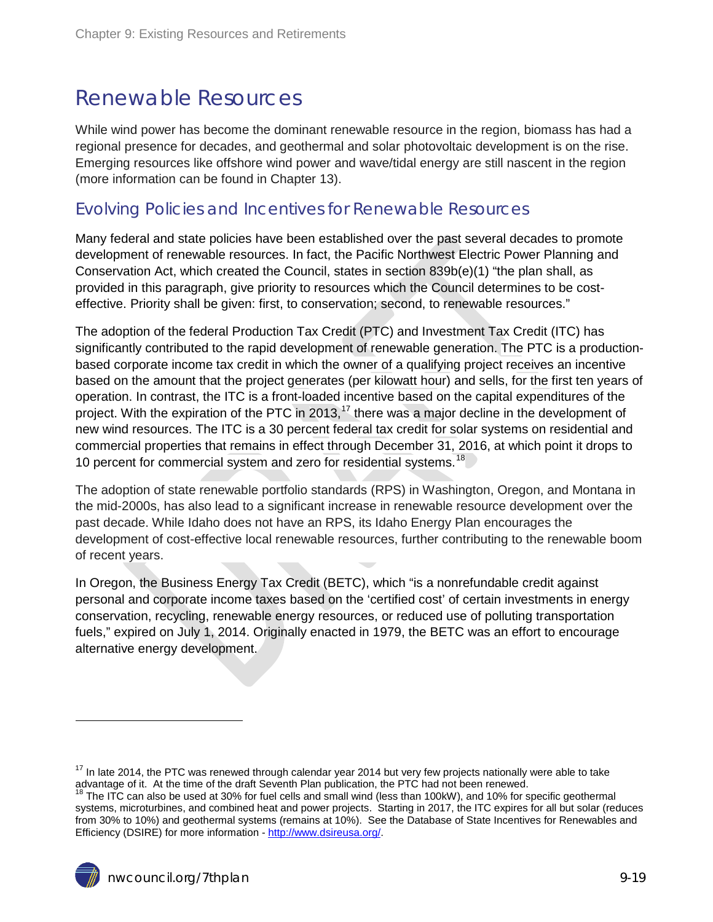#### <span id="page-18-0"></span>Renewable Resources

While wind power has become the dominant renewable resource in the region, biomass has had a regional presence for decades, and geothermal and solar photovoltaic development is on the rise. Emerging resources like offshore wind power and wave/tidal energy are still nascent in the region (more information can be found in Chapter 13).

#### <span id="page-18-1"></span>Evolving Policies and Incentives for Renewable Resources

Many federal and state policies have been established over the past several decades to promote development of renewable resources. In fact, the Pacific Northwest Electric Power Planning and Conservation Act, which created the Council, states in section 839b(e)(1) "the plan shall, as provided in this paragraph, give priority to resources which the Council determines to be costeffective. Priority shall be given: first, to conservation; second, to renewable resources."

The adoption of the federal Production Tax Credit (PTC) and Investment Tax Credit (ITC) has significantly contributed to the rapid development of renewable generation. The PTC is a productionbased corporate income tax credit in which the owner of a qualifying project receives an incentive based on the amount that the project generates (per kilowatt hour) and sells, for the first ten years of operation. In contrast, the ITC is a front-loaded incentive based on the capital expenditures of the project. With the expiration of the PTC in 2013,<sup>[17](#page-17-1)</sup> there was a major decline in the development of new wind resources. The ITC is a 30 percent federal tax credit for solar systems on residential and commercial properties that remains in effect through December 31, 2016, at which point it drops to 10 percent for commercial system and zero for residential systems.<sup>[18](#page-18-2)</sup>

The adoption of state renewable portfolio standards (RPS) in Washington, Oregon, and Montana in the mid-2000s, has also lead to a significant increase in renewable resource development over the past decade. While Idaho does not have an RPS, its Idaho Energy Plan encourages the development of cost-effective local renewable resources, further contributing to the renewable boom of recent years.

In Oregon, the Business Energy Tax Credit (BETC), which "is a nonrefundable credit against personal and corporate income taxes based on the 'certified cost' of certain investments in energy conservation, recycling, renewable energy resources, or reduced use of polluting transportation fuels," expired on July 1, 2014. Originally enacted in 1979, the BETC was an effort to encourage alternative energy development.

 $17$  In late 2014, the PTC was renewed through calendar year 2014 but very few projects nationally were able to take advantage of it. At the time of the draft Seventh Plan publication, the PTC had not been renewed.

<span id="page-18-2"></span><sup>&</sup>lt;sup>18</sup> The ITC can also be used at 30% for fuel cells and small wind (less than 100kW), and 10% for specific geothermal systems, microturbines, and combined heat and power projects. Starting in 2017, the ITC expires for all but solar (reduces from 30% to 10%) and geothermal systems (remains at 10%). See the Database of State Incentives for Renewables and Efficiency (DSIRE) for more information - [http://www.dsireusa.org/.](http://www.dsireusa.org/)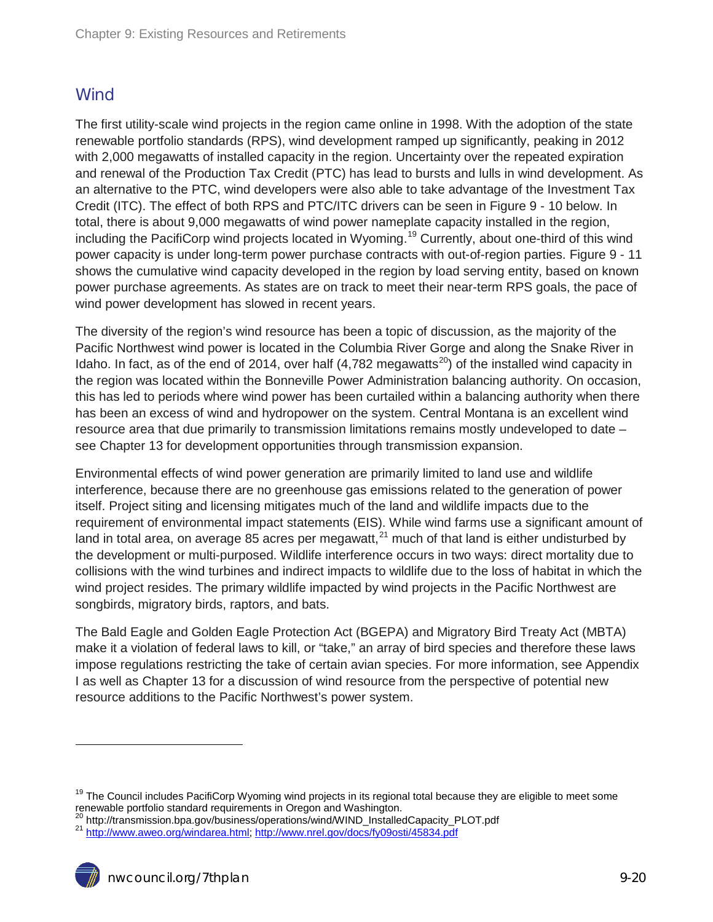#### <span id="page-19-0"></span>**Wind**

The first utility-scale wind projects in the region came online in 1998. With the adoption of the state renewable portfolio standards (RPS), wind development ramped up significantly, peaking in 2012 with 2,000 megawatts of installed capacity in the region. Uncertainty over the repeated expiration and renewal of the Production Tax Credit (PTC) has lead to bursts and lulls in wind development. As an alternative to the PTC, wind developers were also able to take advantage of the Investment Tax Credit (ITC). The effect of both RPS and PTC/ITC drivers can be seen in Figure 9 - 10 below. In total, there is about 9,000 megawatts of wind power nameplate capacity installed in the region, including the PacifiCorp wind projects located in Wyoming.<sup>[19](#page-18-2)</sup> Currently, about one-third of this wind power capacity is under long-term power purchase contracts with out-of-region parties. Figure 9 - 11 shows the cumulative wind capacity developed in the region by load serving entity, based on known power purchase agreements. As states are on track to meet their near-term RPS goals, the pace of wind power development has slowed in recent years.

The diversity of the region's wind resource has been a topic of discussion, as the majority of the Pacific Northwest wind power is located in the Columbia River Gorge and along the Snake River in Idaho. In fact, as of the end of 2014, over half  $(4,782 \text{ megawatts}^{20})$  of the installed wind capacity in the region was located within the Bonneville Power Administration balancing authority. On occasion, this has led to periods where wind power has been curtailed within a balancing authority when there has been an excess of wind and hydropower on the system. Central Montana is an excellent wind resource area that due primarily to transmission limitations remains mostly undeveloped to date – see Chapter 13 for development opportunities through transmission expansion.

Environmental effects of wind power generation are primarily limited to land use and wildlife interference, because there are no greenhouse gas emissions related to the generation of power itself. Project siting and licensing mitigates much of the land and wildlife impacts due to the requirement of environmental impact statements (EIS). While wind farms use a significant amount of land in total area, on average 85 acres per megawatt,  $21$  much of that land is either undisturbed by the development or multi-purposed. Wildlife interference occurs in two ways: direct mortality due to collisions with the wind turbines and indirect impacts to wildlife due to the loss of habitat in which the wind project resides. The primary wildlife impacted by wind projects in the Pacific Northwest are songbirds, migratory birds, raptors, and bats.

The Bald Eagle and Golden Eagle Protection Act (BGEPA) and Migratory Bird Treaty Act (MBTA) make it a violation of federal laws to kill, or "take," an array of bird species and therefore these laws impose regulations restricting the take of certain avian species. For more information, see Appendix I as well as Chapter 13 for a discussion of wind resource from the perspective of potential new resource additions to the Pacific Northwest's power system.

<sup>&</sup>lt;sup>19</sup> The Council includes PacifiCorp Wyoming wind projects in its regional total because they are eligible to meet some renewable portfolio standard requirements in Oregon and Washington.

<span id="page-19-1"></span><sup>&</sup>lt;sup>20</sup> http://transmission.bpa.gov/business/operations/wind/WIND\_InstalledCapacity\_PLOT.pdf<br><sup>21</sup> http://www.aweo.org/<u>windarea.html;<http://www.nrel.gov/docs/fy09osti/45834.pdf></u>

<span id="page-19-2"></span>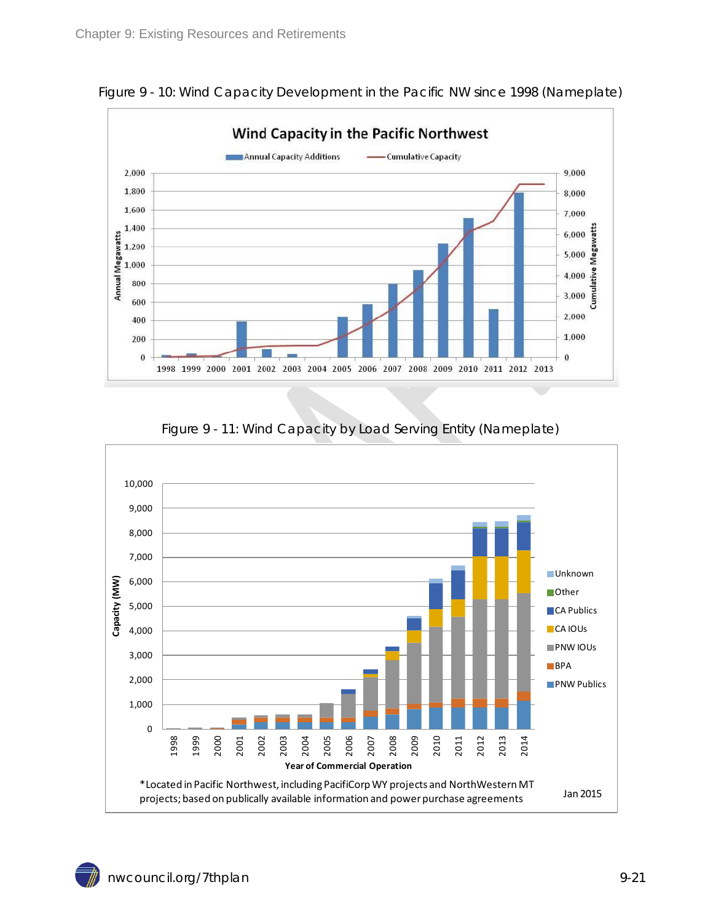

<span id="page-20-0"></span>Figure 9 - 10: Wind Capacity Development in the Pacific NW since 1998 (Nameplate)

<span id="page-20-1"></span>

#### Figure 9 - 11: Wind Capacity by Load Serving Entity (Nameplate)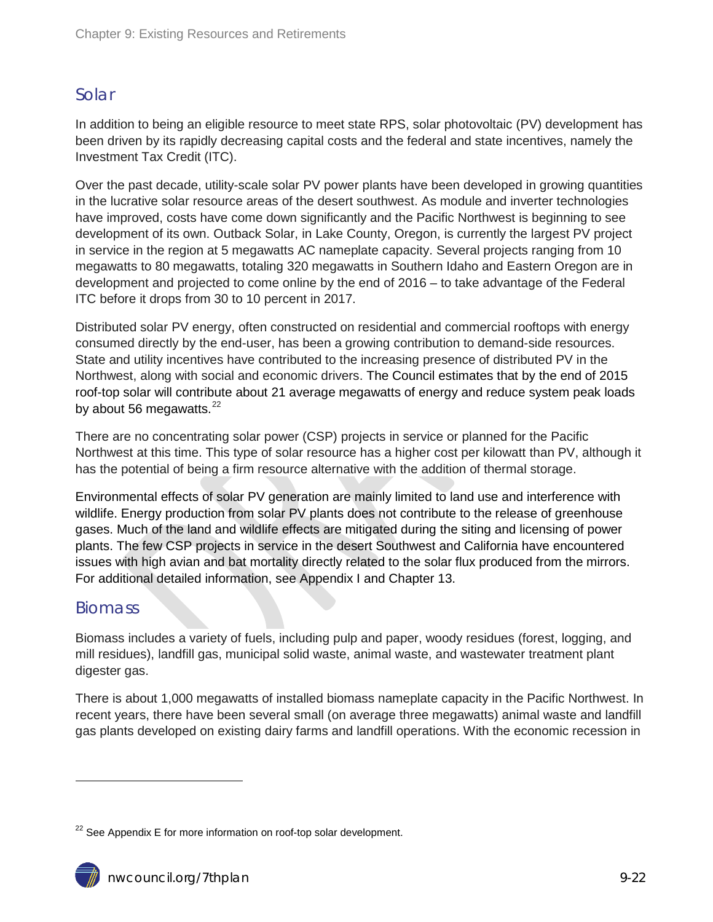#### <span id="page-21-0"></span>Solar

In addition to being an eligible resource to meet state RPS, solar photovoltaic (PV) development has been driven by its rapidly decreasing capital costs and the federal and state incentives, namely the Investment Tax Credit (ITC).

Over the past decade, utility-scale solar PV power plants have been developed in growing quantities in the lucrative solar resource areas of the desert southwest. As module and inverter technologies have improved, costs have come down significantly and the Pacific Northwest is beginning to see development of its own. Outback Solar, in Lake County, Oregon, is currently the largest PV project in service in the region at 5 megawatts AC nameplate capacity. Several projects ranging from 10 megawatts to 80 megawatts, totaling 320 megawatts in Southern Idaho and Eastern Oregon are in development and projected to come online by the end of 2016 – to take advantage of the Federal ITC before it drops from 30 to 10 percent in 2017.

Distributed solar PV energy, often constructed on residential and commercial rooftops with energy consumed directly by the end-user, has been a growing contribution to demand-side resources. State and utility incentives have contributed to the increasing presence of distributed PV in the Northwest, along with social and economic drivers. The Council estimates that by the end of 2015 roof-top solar will contribute about 21 average megawatts of energy and reduce system peak loads by about 56 megawatts. $^{22}$  $^{22}$  $^{22}$ 

There are no concentrating solar power (CSP) projects in service or planned for the Pacific Northwest at this time. This type of solar resource has a higher cost per kilowatt than PV, although it has the potential of being a firm resource alternative with the addition of thermal storage.

Environmental effects of solar PV generation are mainly limited to land use and interference with wildlife. Energy production from solar PV plants does not contribute to the release of greenhouse gases. Much of the land and wildlife effects are mitigated during the siting and licensing of power plants. The few CSP projects in service in the desert Southwest and California have encountered issues with high avian and bat mortality directly related to the solar flux produced from the mirrors. For additional detailed information, see Appendix I and Chapter 13.

#### <span id="page-21-1"></span>**Biomass**

 $\overline{a}$ 

Biomass includes a variety of fuels, including pulp and paper, woody residues (forest, logging, and mill residues), landfill gas, municipal solid waste, animal waste, and wastewater treatment plant digester gas.

There is about 1,000 megawatts of installed biomass nameplate capacity in the Pacific Northwest. In recent years, there have been several small (on average three megawatts) animal waste and landfill gas plants developed on existing dairy farms and landfill operations. With the economic recession in

<span id="page-21-2"></span> $^{22}$  See Appendix E for more information on roof-top solar development.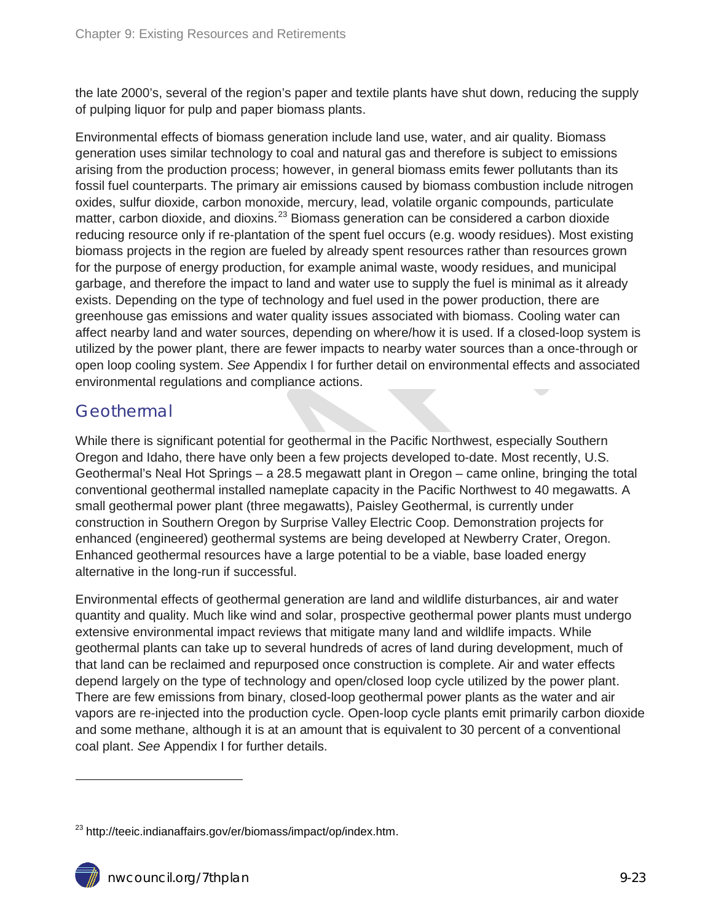the late 2000's, several of the region's paper and textile plants have shut down, reducing the supply of pulping liquor for pulp and paper biomass plants.

Environmental effects of biomass generation include land use, water, and air quality. Biomass generation uses similar technology to coal and natural gas and therefore is subject to emissions arising from the production process; however, in general biomass emits fewer pollutants than its fossil fuel counterparts. The primary air emissions caused by biomass combustion include nitrogen oxides, sulfur dioxide, carbon monoxide, mercury, lead, volatile organic compounds, particulate matter, carbon dioxide, and dioxins.<sup>[23](#page-21-2)</sup> Biomass generation can be considered a carbon dioxide reducing resource only if re-plantation of the spent fuel occurs (e.g. woody residues). Most existing biomass projects in the region are fueled by already spent resources rather than resources grown for the purpose of energy production, for example animal waste, woody residues, and municipal garbage, and therefore the impact to land and water use to supply the fuel is minimal as it already exists. Depending on the type of technology and fuel used in the power production, there are greenhouse gas emissions and water quality issues associated with biomass. Cooling water can affect nearby land and water sources, depending on where/how it is used. If a closed-loop system is utilized by the power plant, there are fewer impacts to nearby water sources than a once-through or open loop cooling system. *See* Appendix I for further detail on environmental effects and associated environmental regulations and compliance actions.

#### <span id="page-22-0"></span>**Geothermal**

While there is significant potential for geothermal in the Pacific Northwest, especially Southern Oregon and Idaho, there have only been a few projects developed to-date. Most recently, U.S. Geothermal's Neal Hot Springs – a 28.5 megawatt plant in Oregon – came online, bringing the total conventional geothermal installed nameplate capacity in the Pacific Northwest to 40 megawatts. A small geothermal power plant (three megawatts), Paisley Geothermal, is currently under construction in Southern Oregon by Surprise Valley Electric Coop. Demonstration projects for enhanced (engineered) geothermal systems are being developed at Newberry Crater, Oregon. Enhanced geothermal resources have a large potential to be a viable, base loaded energy alternative in the long-run if successful.

Environmental effects of geothermal generation are land and wildlife disturbances, air and water quantity and quality. Much like wind and solar, prospective geothermal power plants must undergo extensive environmental impact reviews that mitigate many land and wildlife impacts. While geothermal plants can take up to several hundreds of acres of land during development, much of that land can be reclaimed and repurposed once construction is complete. Air and water effects depend largely on the type of technology and open/closed loop cycle utilized by the power plant. There are few emissions from binary, closed-loop geothermal power plants as the water and air vapors are re-injected into the production cycle. Open-loop cycle plants emit primarily carbon dioxide and some methane, although it is at an amount that is equivalent to 30 percent of a conventional coal plant. *See* Appendix I for further details.

-

<span id="page-22-1"></span><sup>&</sup>lt;sup>23</sup> http://teeic.indianaffairs.gov/er/biomass/impact/op/index.htm.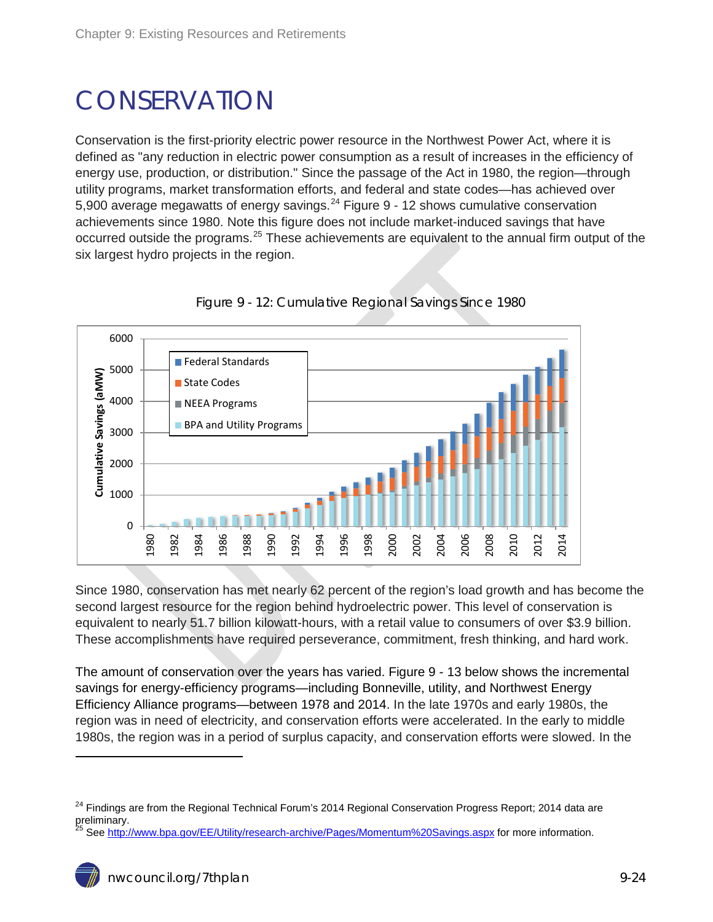## <span id="page-23-0"></span>**CONSERVATION**

Conservation is the first-priority electric power resource in the Northwest Power Act, where it is defined as "any reduction in electric power consumption as a result of increases in the efficiency of energy use, production, or distribution." Since the passage of the Act in 1980, the region—through utility programs, market transformation efforts, and federal and state codes—has achieved over 5,900 average megawatts of energy savings. $^{24}$  $^{24}$  $^{24}$  Figure 9 - 12 shows cumulative conservation achievements since 1980. Note this figure does not include market-induced savings that have occurred outside the programs.<sup>[25](#page-23-2)</sup> These achievements are equivalent to the annual firm output of the six largest hydro projects in the region.

<span id="page-23-1"></span>

Figure 9 - 12: Cumulative Regional Savings Since 1980

Since 1980, conservation has met nearly 62 percent of the region's load growth and has become the second largest resource for the region behind hydroelectric power. This level of conservation is equivalent to nearly 51.7 billion kilowatt-hours, with a retail value to consumers of over \$3.9 billion. These accomplishments have required perseverance, commitment, fresh thinking, and hard work.

The amount of conservation over the years has varied. Figure 9 - 13 below shows the incremental savings for energy-efficiency programs—including Bonneville, utility, and Northwest Energy Efficiency Alliance programs—between 1978 and 2014. In the late 1970s and early 1980s, the region was in need of electricity, and conservation efforts were accelerated. In the early to middle 1980s, the region was in a period of surplus capacity, and conservation efforts were slowed. In the

<span id="page-23-3"></span><sup>&</sup>lt;sup>24</sup> Findings are from the Regional Technical Forum's 2014 Regional Conservation Progress Report; 2014 data are preliminary.

<span id="page-23-2"></span>Se[e http://www.bpa.gov/EE/Utility/research-archive/Pages/Momentum%20Savings.aspx](http://www.bpa.gov/EE/Utility/research-archive/Pages/Momentum%20Savings.aspx) for more information.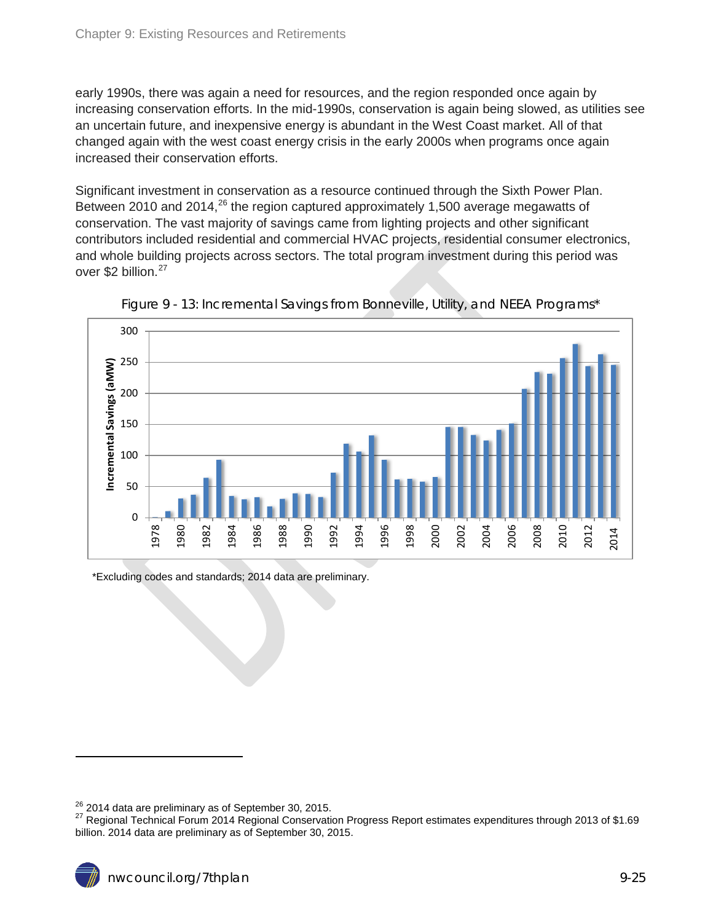early 1990s, there was again a need for resources, and the region responded once again by increasing conservation efforts. In the mid-1990s, conservation is again being slowed, as utilities see an uncertain future, and inexpensive energy is abundant in the West Coast market. All of that changed again with the west coast energy crisis in the early 2000s when programs once again increased their conservation efforts.

Significant investment in conservation as a resource continued through the Sixth Power Plan. Between 2010 and 2014,<sup>[26](#page-23-3)</sup> the region captured approximately 1,500 average megawatts of conservation. The vast majority of savings came from lighting projects and other significant contributors included residential and commercial HVAC projects, residential consumer electronics, and whole building projects across sectors. The total program investment during this period was over \$2 billion.<sup>[27](#page-24-1)</sup>

<span id="page-24-0"></span>



\*Excluding codes and standards; 2014 data are preliminary.

<span id="page-24-1"></span><sup>&</sup>lt;sup>26</sup> 2014 data are preliminary as of September 30, 2015.<br><sup>27</sup> Regional Technical Forum 2014 Regional Conservation Progress Report estimates expenditures through 2013 of \$1.69 billion. 2014 data are preliminary as of September 30, 2015.